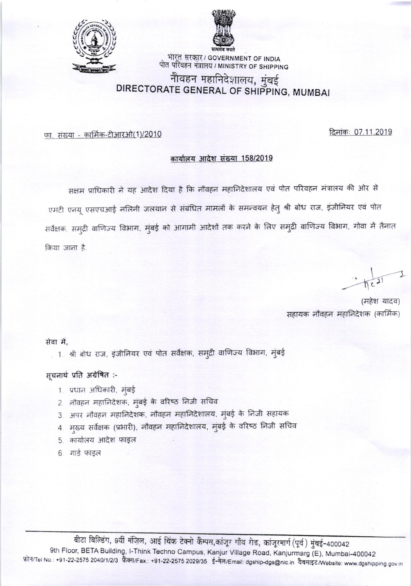



् भारत सरकार / GOVERNMENT OF INDIA<br>पोत परिवहन मंत्रालय / MINISTRY OF SHIPPING

# नौवहन महानिदेशालय, मुंबई DIRECTORATE GENERAL OF SHIPPING, MUMBAI

दिनांकः 07.11.2019

फा. संख्या - कार्मिक-टीआरओ(1)/2010

#### कार्यालय आदेश संख्या 158/2019

सक्षम प्राधिकारी ने यह आदेश दिया है कि नौवहन महानिदेशालय एवं पोत परिवहन मंत्रालय की ओर से एमटी एनयू एसएचआई नलिनी जलयान से संबंधित मामलों के समन्वयन हेतु श्री बोध राज, इंजीनियर एवं पोत सर्वेक्षक, समुद्री वाणिज्य विभाग, मुंबई को आगामी आदेशों तक करने के लिए समुद्री वाणिज्य विभाग, गोवा में तैनात किया जाना है.

(महेश यादव) सहायक नौवहन महानिदेशक (कार्मिक)

सेवा में.

, 1. श्री बोध राज, इंजीनियर एवं पोत सर्वेक्षक, समुद्री वाणिज्य विभाग, मुंबई

सूचनार्थ प्रति अग्रेषित :-

- 1. प्रधान अधिकारी, मुंबई
- 2. नोवहन महानिदेशक, मुंबई के वरिष्ठ निजी सचिव
- 3. अपर नौवहन महानिदेशक, नौवहन महानिदेशालय, मुंबई के निजी सहायक
- 4. मख्य सर्वेक्षक (प्रभारी), नौवहन महानिदेशालय, मुंबई के वरिष्ठ निजी सचिव
- 5. कार्यालय आदेश फाइल
- 6. गार्ड फाइल

बीटा बिल्डिंग, 9वीं मंज़िल, आई थिंक टेक्नो कैम्पस,कांजूर गाँव रोड, कांजूरमार्ग (पूर्व) मुंबई-400042 9th Floor, BETA Building, I-Think Techno Campus, Kanjur Village Road, Kanjurmarg (E), Mumbai-400042 फोन/Tel No.: +91-22-2575 2040/1/2/3 फैक्स/Fax.: +91-22-2575 2029/35 ई-मेल/Email: dgship-dgs@nic.in वैबसाइट/Website: www.dgshipping.gov.in